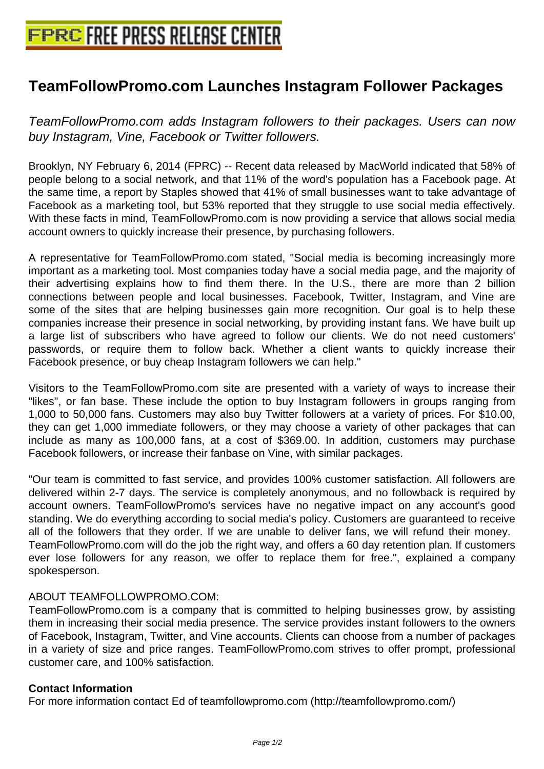## **[TeamFollowPromo.com Launches](http://www.free-press-release-center.info) Instagram Follower Packages**

TeamFollowPromo.com adds Instagram followers to their packages. Users can now buy Instagram, Vine, Facebook or Twitter followers.

Brooklyn, NY February 6, 2014 (FPRC) -- Recent data released by MacWorld indicated that 58% of people belong to a social network, and that 11% of the word's population has a Facebook page. At the same time, a report by Staples showed that 41% of small businesses want to take advantage of Facebook as a marketing tool, but 53% reported that they struggle to use social media effectively. With these facts in mind, TeamFollowPromo.com is now providing a service that allows social media account owners to quickly increase their presence, by purchasing followers.

A representative for TeamFollowPromo.com stated, "Social media is becoming increasingly more important as a marketing tool. Most companies today have a social media page, and the majority of their advertising explains how to find them there. In the U.S., there are more than 2 billion connections between people and local businesses. Facebook, Twitter, Instagram, and Vine are some of the sites that are helping businesses gain more recognition. Our goal is to help these companies increase their presence in social networking, by providing instant fans. We have built up a large list of subscribers who have agreed to follow our clients. We do not need customers' passwords, or require them to follow back. Whether a client wants to quickly increase their Facebook presence, or buy cheap Instagram followers we can help."

Visitors to the TeamFollowPromo.com site are presented with a variety of ways to increase their "likes", or fan base. These include the option to buy Instagram followers in groups ranging from 1,000 to 50,000 fans. Customers may also buy Twitter followers at a variety of prices. For \$10.00, they can get 1,000 immediate followers, or they may choose a variety of other packages that can include as many as 100,000 fans, at a cost of \$369.00. In addition, customers may purchase Facebook followers, or increase their fanbase on Vine, with similar packages.

"Our team is committed to fast service, and provides 100% customer satisfaction. All followers are delivered within 2-7 days. The service is completely anonymous, and no followback is required by account owners. TeamFollowPromo's services have no negative impact on any account's good standing. We do everything according to social media's policy. Customers are guaranteed to receive all of the followers that they order. If we are unable to deliver fans, we will refund their money. TeamFollowPromo.com will do the job the right way, and offers a 60 day retention plan. If customers ever lose followers for any reason, we offer to replace them for free.", explained a company spokesperson.

## ABOUT TEAMFOLLOWPROMO.COM:

TeamFollowPromo.com is a company that is committed to helping businesses grow, by assisting them in increasing their social media presence. The service provides instant followers to the owners of Facebook, Instagram, Twitter, and Vine accounts. Clients can choose from a number of packages in a variety of size and price ranges. TeamFollowPromo.com strives to offer prompt, professional customer care, and 100% satisfaction.

## **Contact Information**

For more information contact Ed of teamfollowpromo.com (http://teamfollowpromo.com/)